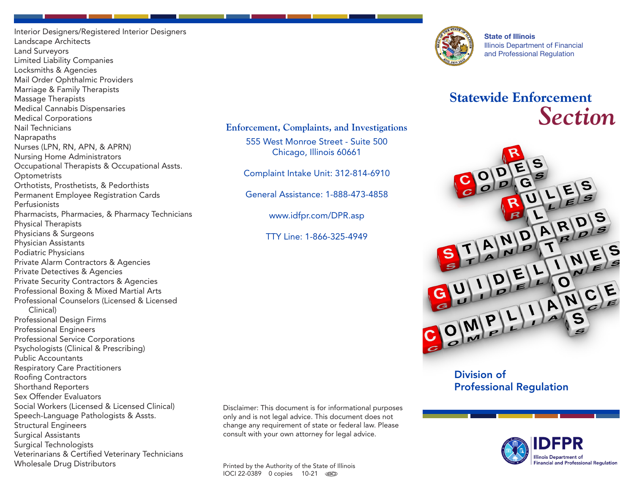Interior Designers/Registered Interior Designers Landscape Architects Land Surveyors Limited Liability Companies Locksmiths & Agencies Mail Order Ophthalmic Providers Marriage & Family Therapists Massage Therapists Medical Cannabis Dispensaries Medical Corporations Nail Technicians **Naprapaths** Nurses (LPN, RN, APN, & APRN) Nursing Home Administrators Occupational Therapists & Occupational Assts. **Optometrists** Orthotists, Prosthetists, & Pedorthists Permanent Employee Registration Cards Perfusionists Pharmacists, Pharmacies, & Pharmacy Technicians Physical Therapists Physicians & Surgeons Physician Assistants Podiatric Physicians Private Alarm Contractors & Agencies Private Detectives & Agencies Private Security Contractors & Agencies Professional Boxing & Mixed Martial Arts Professional Counselors (Licensed & Licensed Clinical) Professional Design Firms Professional Engineers Professional Service Corporations Psychologists (Clinical & Prescribing) Public Accountants Respiratory Care Practitioners Roofing Contractors Shorthand Reporters Sex Offender Evaluators Social Workers (Licensed & Licensed Clinical) Speech-Language Pathologists & Assts. Structural Engineers Surgical Assistants Surgical Technologists Veterinarians & Certified Veterinary Technicians Wholesale Drug Distributors

Disclaimer: This document is for informational purposes only and is not legal advice. This document does not change any requirement of state or federal law. Please consult with your own attorney for legal advice.

**Enforcement, Complaints, and Investigations** 555 West Monroe Street - Suite 500 Chicago, Illinois 60661

Complaint Intake Unit: 312-814-6910

General Assistance: 1-888-473-4858

www.idfpr.com/DPR.asp

TTY Line: 1-866-325-4949

Printed by the Authority of the State of Illinois IOCI 22-0389 0 copies 10-21 00D



State of Illinois Illinois Department of Financial and Professional Regulation

# **Statewide Enforcement** *Section*



Division of Professional Regulation